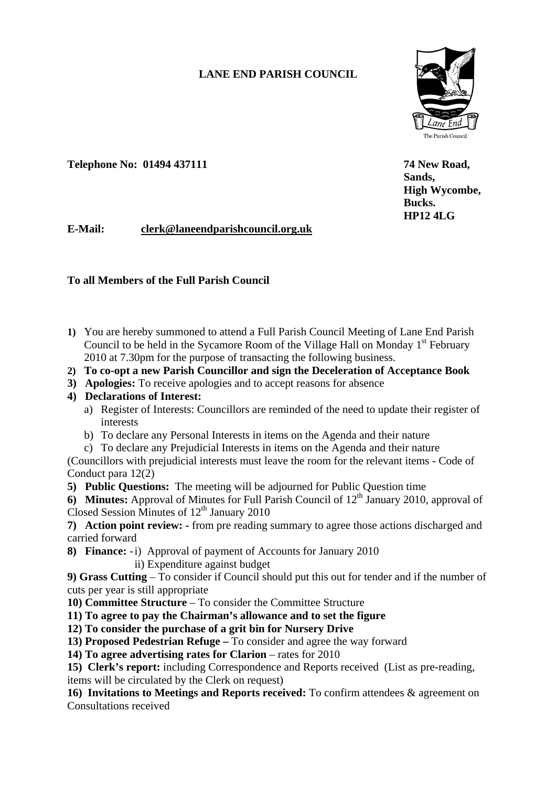# **LANE END PARISH COUNCIL**

 **Sands,** 

**Bucks. Bucks.** 



 **High Wycombe,** 

Telephone No: 01494 437111 74 New Road,

 **HP12 4LG E-Mail: clerk@laneendparishcouncil.org.uk** 

### **To all Members of the Full Parish Council**

- **1)** You are hereby summoned to attend a Full Parish Council Meeting of Lane End Parish Council to be held in the Sycamore Room of the Village Hall on Monday  $1<sup>st</sup>$  February 2010 at 7.30pm for the purpose of transacting the following business.
- **2) To co-opt a new Parish Councillor and sign the Deceleration of Acceptance Book**
- **3) Apologies:** To receive apologies and to accept reasons for absence

## **4) Declarations of Interest:**

- a) Register of Interests: Councillors are reminded of the need to update their register of interests
- b) To declare any Personal Interests in items on the Agenda and their nature
- c) To declare any Prejudicial Interests in items on the Agenda and their nature

(Councillors with prejudicial interests must leave the room for the relevant items - Code of Conduct para 12(2)

**5) Public Questions:** The meeting will be adjourned for Public Question time

**6) Minutes:** Approval of Minutes for Full Parish Council of 12<sup>th</sup> January 2010, approval of Closed Session Minutes of  $12<sup>th</sup>$  January 2010

**7) Action point review: -** from pre reading summary to agree those actions discharged and carried forward

**8) Finance:** -i) Approval of payment of Accounts for January 2010 ii) Expenditure against budget

**9) Grass Cutting** – To consider if Council should put this out for tender and if the number of cuts per year is still appropriate

- **10) Committee Structure** To consider the Committee Structure
- **11) To agree to pay the Chairman's allowance and to set the figure**
- **12) To consider the purchase of a grit bin for Nursery Drive**
- **13) Proposed Pedestrian Refuge** To consider and agree the way forward
- **14) To agree advertising rates for Clarion** rates for 2010

**15) Clerk's report:** including Correspondence and Reports received (List as pre-reading, items will be circulated by the Clerk on request)

**16) Invitations to Meetings and Reports received:** To confirm attendees & agreement on Consultations received